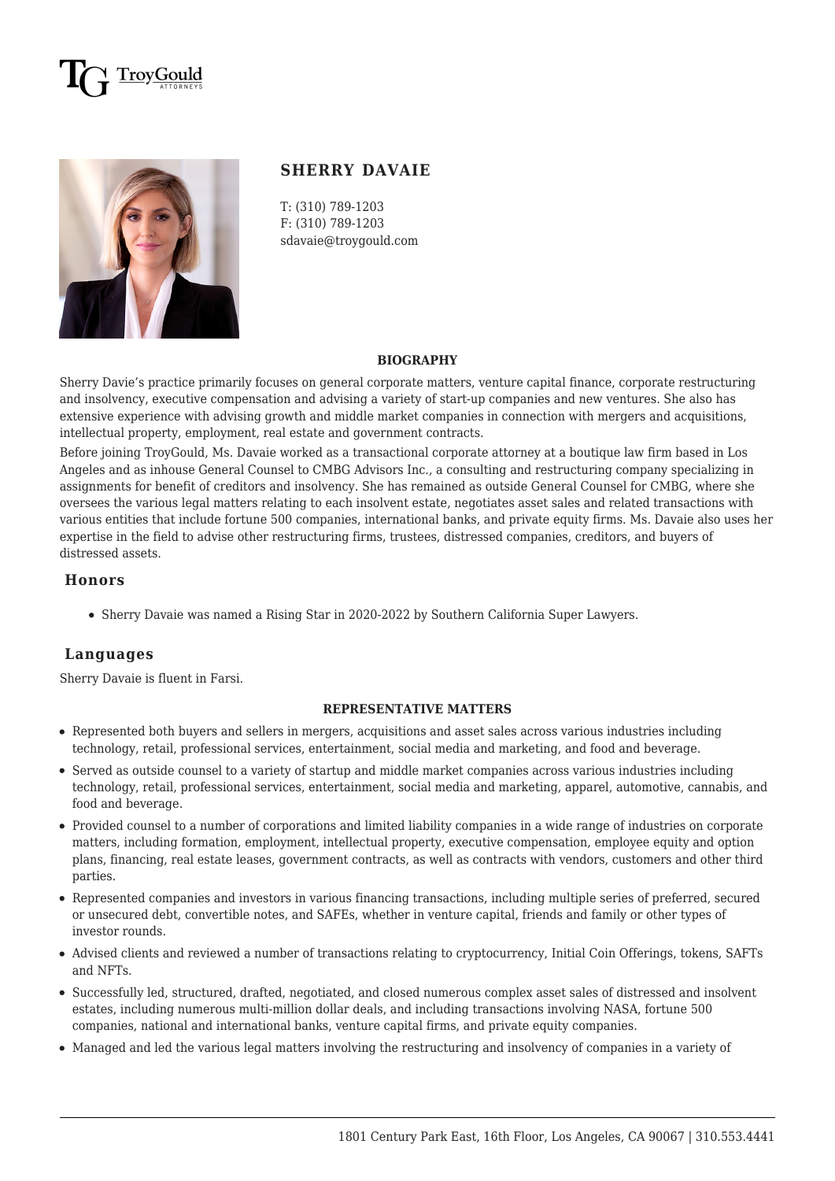## rovGould



### **SHERRY DAVAIE**

T: (310) 789-1203 F: (310) 789-1203 sdavaie@troygould.com

#### **BIOGRAPHY**

Sherry Davie's practice primarily focuses on general corporate matters, venture capital finance, corporate restructuring and insolvency, executive compensation and advising a variety of start-up companies and new ventures. She also has extensive experience with advising growth and middle market companies in connection with mergers and acquisitions, intellectual property, employment, real estate and government contracts.

Before joining TroyGould, Ms. Davaie worked as a transactional corporate attorney at a boutique law firm based in Los Angeles and as inhouse General Counsel to CMBG Advisors Inc., a consulting and restructuring company specializing in assignments for benefit of creditors and insolvency. She has remained as outside General Counsel for CMBG, where she oversees the various legal matters relating to each insolvent estate, negotiates asset sales and related transactions with various entities that include fortune 500 companies, international banks, and private equity firms. Ms. Davaie also uses her expertise in the field to advise other restructuring firms, trustees, distressed companies, creditors, and buyers of distressed assets.

#### **Honors**

Sherry Davaie was named a Rising Star in 2020-2022 by Southern California Super Lawyers.

#### **Languages**

Sherry Davaie is fluent in Farsi.

#### **REPRESENTATIVE MATTERS**

- Represented both buyers and sellers in mergers, acquisitions and asset sales across various industries including technology, retail, professional services, entertainment, social media and marketing, and food and beverage.
- Served as outside counsel to a variety of startup and middle market companies across various industries including technology, retail, professional services, entertainment, social media and marketing, apparel, automotive, cannabis, and food and beverage.
- Provided counsel to a number of corporations and limited liability companies in a wide range of industries on corporate matters, including formation, employment, intellectual property, executive compensation, employee equity and option plans, financing, real estate leases, government contracts, as well as contracts with vendors, customers and other third parties.
- Represented companies and investors in various financing transactions, including multiple series of preferred, secured or unsecured debt, convertible notes, and SAFEs, whether in venture capital, friends and family or other types of investor rounds.
- Advised clients and reviewed a number of transactions relating to cryptocurrency, Initial Coin Offerings, tokens, SAFTs and NFTs.
- Successfully led, structured, drafted, negotiated, and closed numerous complex asset sales of distressed and insolvent estates, including numerous multi-million dollar deals, and including transactions involving NASA, fortune 500 companies, national and international banks, venture capital firms, and private equity companies.
- Managed and led the various legal matters involving the restructuring and insolvency of companies in a variety of